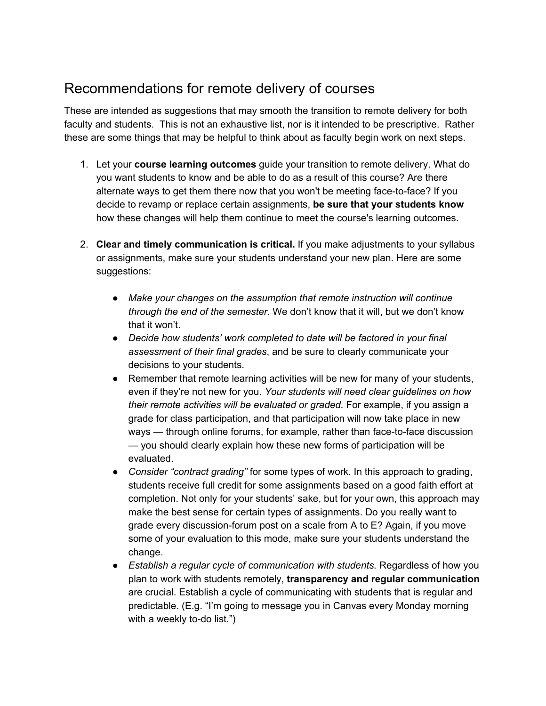## Recommendations for remote delivery of courses

These are intended as suggestions that may smooth the transition to remote delivery for both faculty and students. This is not an exhaustive list, nor is it intended to be prescriptive. Rather these are some things that may be helpful to think about as faculty begin work on next steps.

- 1. Let your **course learning outcomes** guide your transition to remote delivery. What do you want students to know and be able to do as a result of this course? Are there alternate ways to get them there now that you won't be meeting face-to-face? If you decide to revamp or replace certain assignments, **be sure that your students know** how these changes will help them continue to meet the course's learning outcomes.
- 2. **Clear and timely communication is critical.** If you make adjustments to your syllabus or assignments, make sure your students understand your new plan. Here are some suggestions:
	- *Make your changes on the assumption that remote instruction will continue through the end of the semester.* We don't know that it will, but we don't know that it won't.
	- *Decide how students' work completed to date will be factored in your final assessment of their final grades*, and be sure to clearly communicate your decisions to your students.
	- Remember that remote learning activities will be new for many of your students, even if they're not new for you. *Your students will need clear guidelines on how their remote activities will be evaluated or graded.* For example, if you assign a grade for class participation, and that participation will now take place in new ways — through online forums, for example, rather than face-to-face discussion — you should clearly explain how these new forms of participation will be evaluated.
	- *Consider "contract grading"* for some types of work. In this approach to grading, students receive full credit for some assignments based on a good faith effort at completion. Not only for your students' sake, but for your own, this approach may make the best sense for certain types of assignments. Do you really want to grade every discussion-forum post on a scale from A to E? Again, if you move some of your evaluation to this mode, make sure your students understand the change.
	- *Establish a regular cycle of communication with students.* Regardless of how you plan to work with students remotely, **transparency and regular communication** are crucial. Establish a cycle of communicating with students that is regular and predictable. (E.g. "I'm going to message you in Canvas every Monday morning with a weekly to-do list.")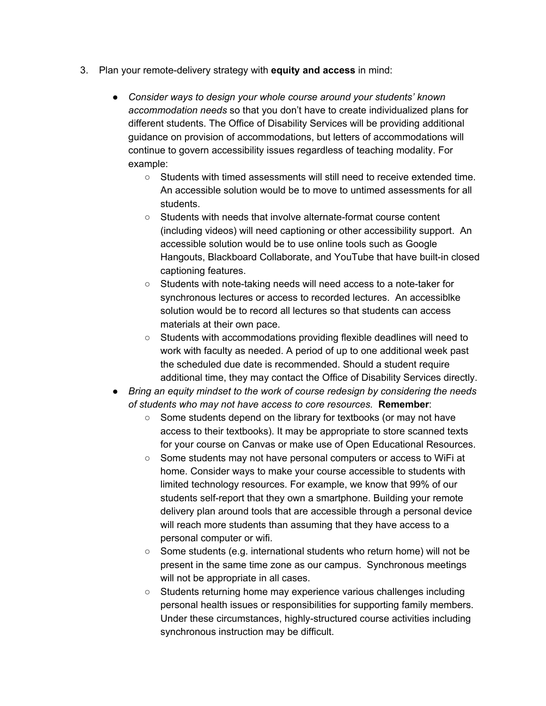- 3. Plan your remote-delivery strategy with **equity and access** in mind:
	- *Consider ways to design your whole course around your students' known accommodation needs* so that you don't have to create individualized plans for different students. The Office of Disability Services will be providing additional guidance on provision of accommodations, but letters of accommodations will continue to govern accessibility issues regardless of teaching modality. For example:
		- Students with timed assessments will still need to receive extended time. An accessible solution would be to move to untimed assessments for all students.
		- Students with needs that involve alternate-format course content (including videos) will need captioning or other accessibility support. An accessible solution would be to use online tools such as Google Hangouts, Blackboard Collaborate, and YouTube that have built-in closed captioning features.
		- Students with note-taking needs will need access to a note-taker for synchronous lectures or access to recorded lectures. An accessiblke solution would be to record all lectures so that students can access materials at their own pace.
		- Students with accommodations providing flexible deadlines will need to work with faculty as needed. A period of up to one additional week past the scheduled due date is recommended. Should a student require additional time, they may contact the Office of Disability Services directly.
	- *Bring an equity mindset to the work of course redesign by considering the needs of students who may not have access to core resources.* **Remember**:
		- Some students depend on the library for textbooks (or may not have access to their textbooks). It may be appropriate to store scanned texts for your course on Canvas or make use of Open Educational Resources.
		- Some students may not have personal computers or access to WiFi at home. Consider ways to make your course accessible to students with limited technology resources. For example, we know that 99% of our students self-report that they own a smartphone. Building your remote delivery plan around tools that are accessible through a personal device will reach more students than assuming that they have access to a personal computer or wifi.
		- Some students (e.g. international students who return home) will not be present in the same time zone as our campus. Synchronous meetings will not be appropriate in all cases.
		- Students returning home may experience various challenges including personal health issues or responsibilities for supporting family members. Under these circumstances, highly-structured course activities including synchronous instruction may be difficult.